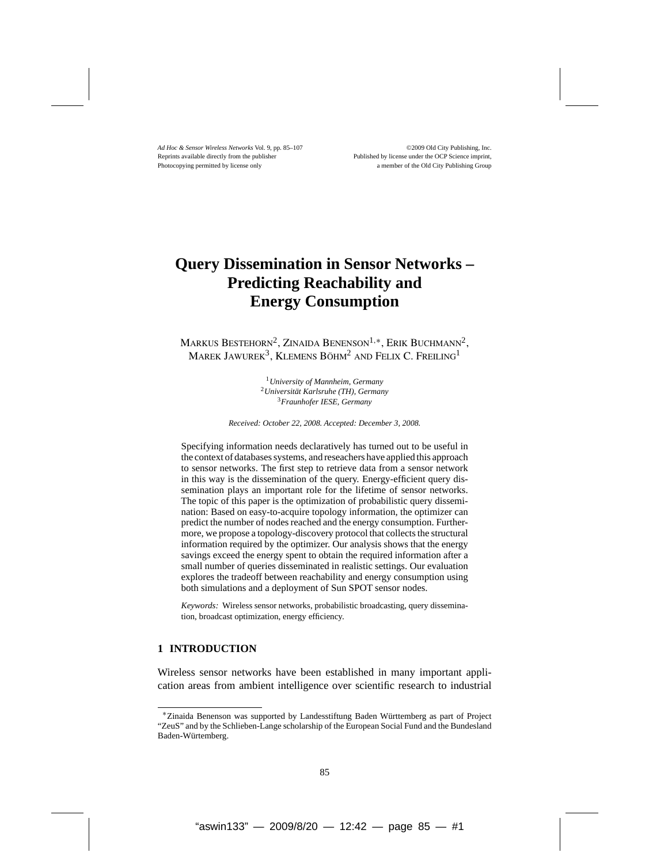# **Query Dissemination in Sensor Networks – Predicting Reachability and Energy Consumption**

Markus Bestehorn2, Zinaida Benenson1*,*∗, Erik Buchmann2, MAREK JAWUREK<sup>3</sup>, KLEMENS BÖHM<sup>2</sup> AND FELIX C. FREILING<sup>1</sup>

> <sup>1</sup>*University of Mannheim, Germany* <sup>2</sup>*Universität Karlsruhe (TH), Germany* <sup>3</sup>*Fraunhofer IESE, Germany*

*Received: October 22, 2008. Accepted: December 3, 2008.*

Specifying information needs declaratively has turned out to be useful in the context of databases systems, and reseachers have applied this approach to sensor networks. The first step to retrieve data from a sensor network in this way is the dissemination of the query. Energy-efficient query dissemination plays an important role for the lifetime of sensor networks. The topic of this paper is the optimization of probabilistic query dissemination: Based on easy-to-acquire topology information, the optimizer can predict the number of nodes reached and the energy consumption. Furthermore, we propose a topology-discovery protocol that collects the structural information required by the optimizer. Our analysis shows that the energy savings exceed the energy spent to obtain the required information after a small number of queries disseminated in realistic settings. Our evaluation explores the tradeoff between reachability and energy consumption using both simulations and a deployment of Sun SPOT sensor nodes.

*Keywords:* Wireless sensor networks, probabilistic broadcasting, query dissemination, broadcast optimization, energy efficiency.

# **1 INTRODUCTION**

Wireless sensor networks have been established in many important application areas from ambient intelligence over scientific research to industrial

<sup>∗</sup>Zinaida Benenson was supported by Landesstiftung Baden Württemberg as part of Project "ZeuS" and by the Schlieben-Lange scholarship of the European Social Fund and the Bundesland Baden-Würtemberg.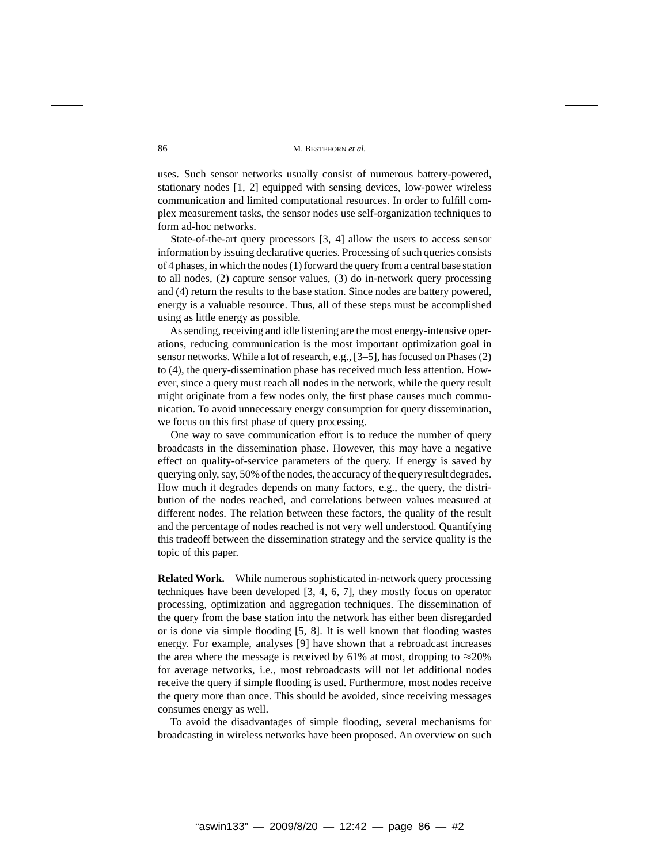uses. Such sensor networks usually consist of numerous battery-powered, stationary nodes [1, 2] equipped with sensing devices, low-power wireless communication and limited computational resources. In order to fulfill complex measurement tasks, the sensor nodes use self-organization techniques to form ad-hoc networks.

State-of-the-art query processors [3, 4] allow the users to access sensor information by issuing declarative queries. Processing of such queries consists of 4 phases, in which the nodes (1) forward the query from a central base station to all nodes, (2) capture sensor values, (3) do in-network query processing and (4) return the results to the base station. Since nodes are battery powered, energy is a valuable resource. Thus, all of these steps must be accomplished using as little energy as possible.

As sending, receiving and idle listening are the most energy-intensive operations, reducing communication is the most important optimization goal in sensor networks. While a lot of research, e.g., [3–5], has focused on Phases (2) to (4), the query-dissemination phase has received much less attention. However, since a query must reach all nodes in the network, while the query result might originate from a few nodes only, the first phase causes much communication. To avoid unnecessary energy consumption for query dissemination, we focus on this first phase of query processing.

One way to save communication effort is to reduce the number of query broadcasts in the dissemination phase. However, this may have a negative effect on quality-of-service parameters of the query. If energy is saved by querying only, say, 50% of the nodes, the accuracy of the query result degrades. How much it degrades depends on many factors, e.g., the query, the distribution of the nodes reached, and correlations between values measured at different nodes. The relation between these factors, the quality of the result and the percentage of nodes reached is not very well understood. Quantifying this tradeoff between the dissemination strategy and the service quality is the topic of this paper.

**Related Work.** While numerous sophisticated in-network query processing techniques have been developed [3, 4, 6, 7], they mostly focus on operator processing, optimization and aggregation techniques. The dissemination of the query from the base station into the network has either been disregarded or is done via simple flooding [5, 8]. It is well known that flooding wastes energy. For example, analyses [9] have shown that a rebroadcast increases the area where the message is received by 61% at most, dropping to  $\approx$ 20% for average networks, i.e., most rebroadcasts will not let additional nodes receive the query if simple flooding is used. Furthermore, most nodes receive the query more than once. This should be avoided, since receiving messages consumes energy as well.

To avoid the disadvantages of simple flooding, several mechanisms for broadcasting in wireless networks have been proposed. An overview on such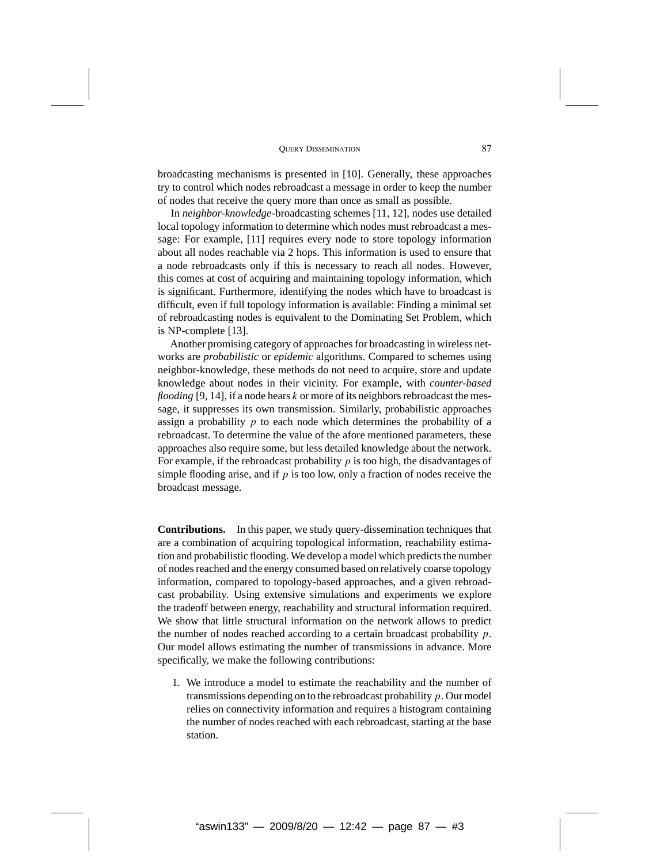broadcasting mechanisms is presented in [10]. Generally, these approaches try to control which nodes rebroadcast a message in order to keep the number of nodes that receive the query more than once as small as possible.

In *neighbor-knowledge*-broadcasting schemes [11, 12], nodes use detailed local topology information to determine which nodes must rebroadcast a message: For example, [11] requires every node to store topology information about all nodes reachable via 2 hops. This information is used to ensure that a node rebroadcasts only if this is necessary to reach all nodes. However, this comes at cost of acquiring and maintaining topology information, which is significant. Furthermore, identifying the nodes which have to broadcast is difficult, even if full topology information is available: Finding a minimal set of rebroadcasting nodes is equivalent to the Dominating Set Problem, which is NP-complete [13].

Another promising category of approaches for broadcasting in wireless networks are *probabilistic* or *epidemic* algorithms. Compared to schemes using neighbor-knowledge, these methods do not need to acquire, store and update knowledge about nodes in their vicinity. For example, with *counter-based flooding* [9, 14], if a node hears *k* or more of its neighbors rebroadcast the message, it suppresses its own transmission. Similarly, probabilistic approaches assign a probability *p* to each node which determines the probability of a rebroadcast. To determine the value of the afore mentioned parameters, these approaches also require some, but less detailed knowledge about the network. For example, if the rebroadcast probability  $p$  is too high, the disadvantages of simple flooding arise, and if *p* is too low, only a fraction of nodes receive the broadcast message.

**Contributions.** In this paper, we study query-dissemination techniques that are a combination of acquiring topological information, reachability estimation and probabilistic flooding. We develop a model which predicts the number of nodes reached and the energy consumed based on relatively coarse topology information, compared to topology-based approaches, and a given rebroadcast probability. Using extensive simulations and experiments we explore the tradeoff between energy, reachability and structural information required. We show that little structural information on the network allows to predict the number of nodes reached according to a certain broadcast probability *p*. Our model allows estimating the number of transmissions in advance. More specifically, we make the following contributions:

1. We introduce a model to estimate the reachability and the number of transmissions depending on to the rebroadcast probability *p*. Our model relies on connectivity information and requires a histogram containing the number of nodes reached with each rebroadcast, starting at the base station.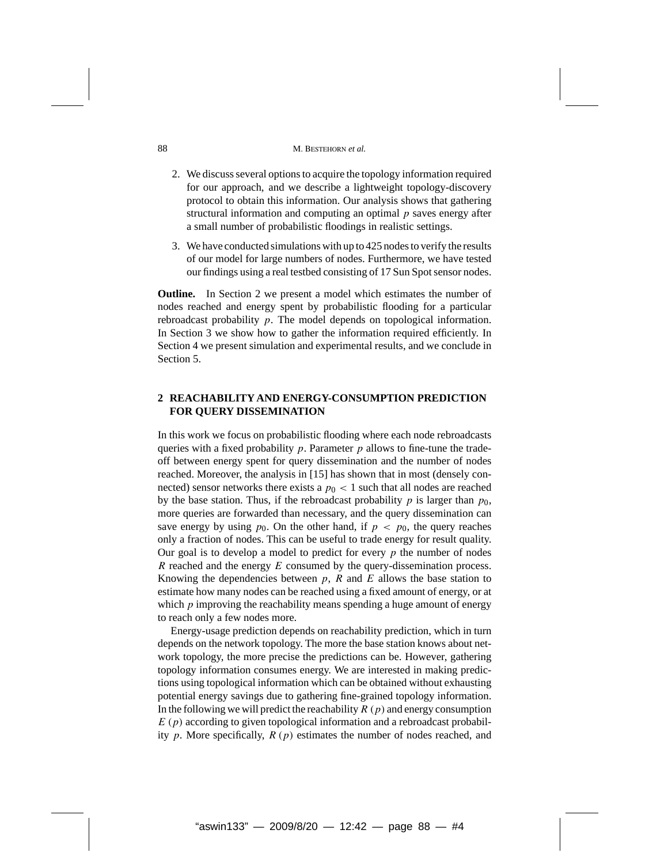- 2. We discuss several options to acquire the topology information required for our approach, and we describe a lightweight topology-discovery protocol to obtain this information. Our analysis shows that gathering structural information and computing an optimal *p* saves energy after a small number of probabilistic floodings in realistic settings.
- 3. We have conducted simulations with up to 425 nodes to verify the results of our model for large numbers of nodes. Furthermore, we have tested our findings using a real testbed consisting of 17 Sun Spot sensor nodes.

**Outline.** In Section 2 we present a model which estimates the number of nodes reached and energy spent by probabilistic flooding for a particular rebroadcast probability *p*. The model depends on topological information. In Section 3 we show how to gather the information required efficiently. In Section 4 we present simulation and experimental results, and we conclude in Section 5.

# **2 REACHABILITY AND ENERGY-CONSUMPTION PREDICTION FOR QUERY DISSEMINATION**

In this work we focus on probabilistic flooding where each node rebroadcasts queries with a fixed probability *p*. Parameter *p* allows to fine-tune the tradeoff between energy spent for query dissemination and the number of nodes reached. Moreover, the analysis in [15] has shown that in most (densely connected) sensor networks there exists a  $p_0 < 1$  such that all nodes are reached by the base station. Thus, if the rebroadcast probability  $p$  is larger than  $p_0$ , more queries are forwarded than necessary, and the query dissemination can save energy by using  $p_0$ . On the other hand, if  $p < p_0$ , the query reaches only a fraction of nodes. This can be useful to trade energy for result quality. Our goal is to develop a model to predict for every *p* the number of nodes *R* reached and the energy *E* consumed by the query-dissemination process. Knowing the dependencies between  $p$ ,  $R$  and  $E$  allows the base station to estimate how many nodes can be reached using a fixed amount of energy, or at which  $p$  improving the reachability means spending a huge amount of energy to reach only a few nodes more.

Energy-usage prediction depends on reachability prediction, which in turn depends on the network topology. The more the base station knows about network topology, the more precise the predictions can be. However, gathering topology information consumes energy. We are interested in making predictions using topological information which can be obtained without exhausting potential energy savings due to gathering fine-grained topology information. In the following we will predict the reachability *R (p)* and energy consumption *E (p)* according to given topological information and a rebroadcast probability *p*. More specifically, *R (p)* estimates the number of nodes reached, and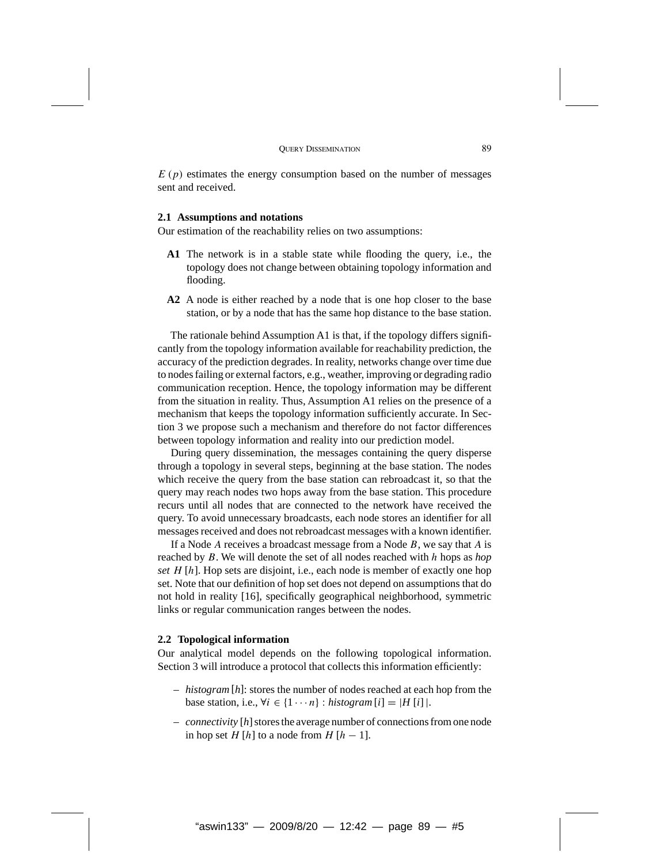$E(p)$  estimates the energy consumption based on the number of messages sent and received.

## **2.1 Assumptions and notations**

Our estimation of the reachability relies on two assumptions:

- **A1** The network is in a stable state while flooding the query, i.e., the topology does not change between obtaining topology information and flooding.
- **A2** A node is either reached by a node that is one hop closer to the base station, or by a node that has the same hop distance to the base station.

The rationale behind Assumption A1 is that, if the topology differs significantly from the topology information available for reachability prediction, the accuracy of the prediction degrades. In reality, networks change over time due to nodes failing or external factors, e.g., weather, improving or degrading radio communication reception. Hence, the topology information may be different from the situation in reality. Thus, Assumption A1 relies on the presence of a mechanism that keeps the topology information sufficiently accurate. In Section 3 we propose such a mechanism and therefore do not factor differences between topology information and reality into our prediction model.

During query dissemination, the messages containing the query disperse through a topology in several steps, beginning at the base station. The nodes which receive the query from the base station can rebroadcast it, so that the query may reach nodes two hops away from the base station. This procedure recurs until all nodes that are connected to the network have received the query. To avoid unnecessary broadcasts, each node stores an identifier for all messages received and does not rebroadcast messages with a known identifier.

If a Node *A* receives a broadcast message from a Node *B*, we say that *A* is reached by *B*. We will denote the set of all nodes reached with *h* hops as *hop set H* [*h*]. Hop sets are disjoint, i.e., each node is member of exactly one hop set. Note that our definition of hop set does not depend on assumptions that do not hold in reality [16], specifically geographical neighborhood, symmetric links or regular communication ranges between the nodes.

#### **2.2 Topological information**

Our analytical model depends on the following topological information. Section 3 will introduce a protocol that collects this information efficiently:

- *histogram* [*h*]: stores the number of nodes reached at each hop from the base station, i.e.,  $\forall i \in \{1 \cdots n\}$ : *histogram*  $[i] = |H[i]|$ .
- *connectivity* [h] stores the average number of connections from one node in hop set *H* [*h*] to a node from *H* [*h* − 1].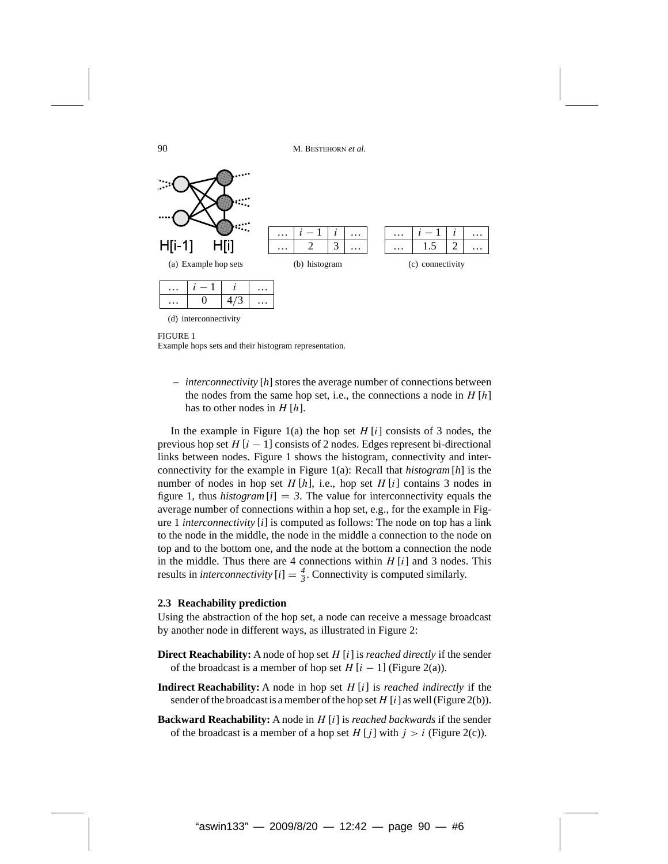

(d) interconnectivity

#### FIGURE 1

Example hops sets and their histogram representation.

– *interconnectivity* [*h*] stores the average number of connections between the nodes from the same hop set, i.e., the connections a node in *H* [*h*] has to other nodes in *H* [*h*].

In the example in Figure 1(a) the hop set *H* [*i*] consists of 3 nodes, the previous hop set  $H[i - 1]$  consists of 2 nodes. Edges represent bi-directional links between nodes. Figure 1 shows the histogram, connectivity and interconnectivity for the example in Figure 1(a): Recall that *histogram* [*h*] is the number of nodes in hop set  $H[h]$ , i.e., hop set  $H[i]$  contains 3 nodes in figure 1, thus *histogram*  $[i] = 3$ . The value for interconnectivity equals the average number of connections within a hop set, e.g., for the example in Figure 1 *interconnectivity* [*i*] is computed as follows: The node on top has a link to the node in the middle, the node in the middle a connection to the node on top and to the bottom one, and the node at the bottom a connection the node in the middle. Thus there are 4 connections within *H* [*i*] and 3 nodes. This results in *interconnectivity*  $[i] = \frac{4}{3}$ . Connectivity is computed similarly.

#### **2.3 Reachability prediction**

Using the abstraction of the hop set, a node can receive a message broadcast by another node in different ways, as illustrated in Figure 2:

- **Direct Reachability:** A node of hop set *H* [*i*] is *reached directly* if the sender of the broadcast is a member of hop set  $H[i - 1]$  (Figure 2(a)).
- **Indirect Reachability:** A node in hop set *H* [*i*] is *reached indirectly* if the sender of the broadcast is a member of the hop set  $H[i]$  as well (Figure 2(b)).
- **Backward Reachability:** A node in *H* [*i*] is *reached backwards* if the sender of the broadcast is a member of a hop set  $H[j]$  with  $j > i$  (Figure 2(c)).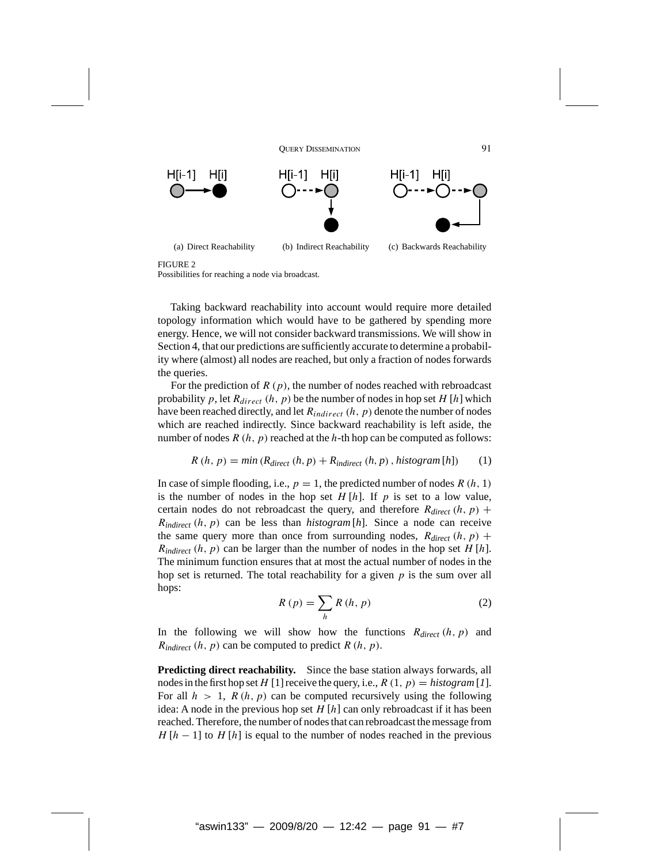

FIGURE 2

Possibilities for reaching a node via broadcast.

Taking backward reachability into account would require more detailed topology information which would have to be gathered by spending more energy. Hence, we will not consider backward transmissions. We will show in Section 4, that our predictions are sufficiently accurate to determine a probability where (almost) all nodes are reached, but only a fraction of nodes forwards the queries.

For the prediction of *R (p)*, the number of nodes reached with rebroadcast probability  $p$ , let  $R_{direct}$   $(h, p)$  be the number of nodes in hop set  $H[h]$  which have been reached directly, and let *Rindirect (h, p)* denote the number of nodes which are reached indirectly. Since backward reachability is left aside, the number of nodes  $R(h, p)$  reached at the  $h$ -th hop can be computed as follows:

$$
R(h, p) = min(Rdirect (h, p) + Rindirect (h, p), histogram[h])
$$
 (1)

In case of simple flooding, i.e.,  $p = 1$ , the predicted number of nodes  $R(h, 1)$ is the number of nodes in the hop set  $H[h]$ . If  $p$  is set to a low value, certain nodes do not rebroadcast the query, and therefore  $R_{direct}(h, p)$  + *Rindirect (h, p)* can be less than *histogram* [*h*]. Since a node can receive the same query more than once from surrounding nodes,  $R_{direct}(h, p)$  +  $R_{indirect}$   $(h, p)$  can be larger than the number of nodes in the hop set *H* [*h*]. The minimum function ensures that at most the actual number of nodes in the hop set is returned. The total reachability for a given *p* is the sum over all hops:

$$
R(p) = \sum_{h} R(h, p) \tag{2}
$$

In the following we will show how the functions *Rdirect (h, p)* and  $R_{indirect}$   $(h, p)$  can be computed to predict  $R(h, p)$ .

**Predicting direct reachability.** Since the base station always forwards, all nodes in the first hop set H [1] receive the query, i.e.,  $R(1, p) = histogram[1]$ . For all  $h > 1$ ,  $R(h, p)$  can be computed recursively using the following idea: A node in the previous hop set *H* [*h*] can only rebroadcast if it has been reached. Therefore, the number of nodes that can rebroadcast the message from  $H[h-1]$  to  $H[h]$  is equal to the number of nodes reached in the previous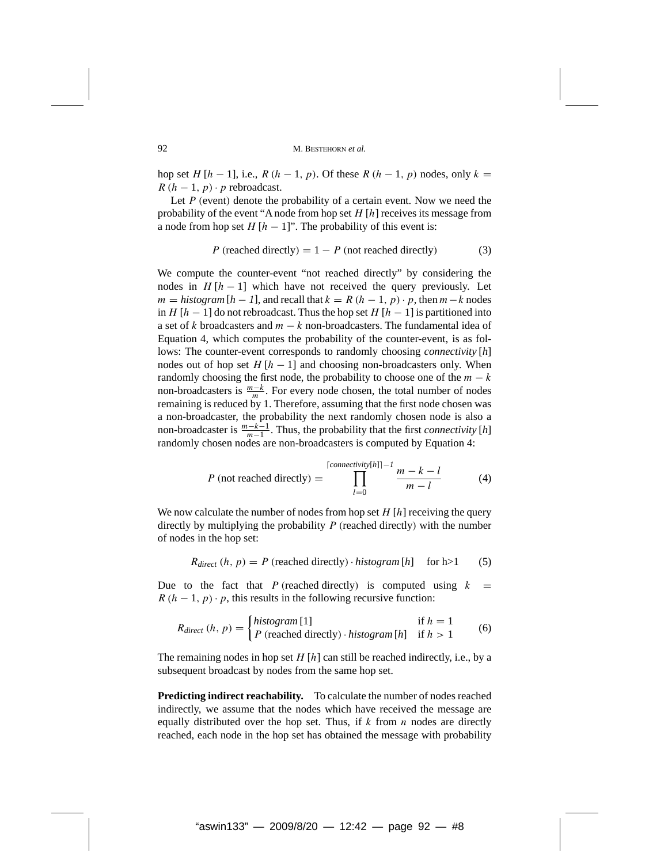hop set *H* [ $h$  − 1], i.e., *R* ( $h$  − 1,  $p$ ). Of these *R* ( $h$  − 1,  $p$ ) nodes, only  $k =$  $R(h-1, p) \cdot p$  rebroadcast.

Let *P* (event) denote the probability of a certain event. Now we need the probability of the event "A node from hop set *H* [*h*] receives its message from a node from hop set  $H[h-1]$ ". The probability of this event is:

$$
P \text{ (reached directly)} = 1 - P \text{ (not reached directly)} \tag{3}
$$

We compute the counter-event "not reached directly" by considering the nodes in  $H[h-1]$  which have not received the query previously. Let  $m = histogram[h-1]$ , and recall that  $k = R(h-1, p) \cdot p$ , then  $m-k$  nodes in *H* [ $h - 1$ ] do not rebroadcast. Thus the hop set *H* [ $h - 1$ ] is partitioned into a set of *k* broadcasters and *m* − *k* non-broadcasters. The fundamental idea of Equation 4, which computes the probability of the counter-event, is as follows: The counter-event corresponds to randomly choosing *connectivity* [*h*] nodes out of hop set  $H[h-1]$  and choosing non-broadcasters only. When randomly choosing the first node, the probability to choose one of the  $m - k$ non-broadcasters is  $\frac{m-k}{m}$ . For every node chosen, the total number of nodes remaining is reduced by 1. Therefore, assuming that the first node chosen was a non-broadcaster, the probability the next randomly chosen node is also a non-broadcaster is  $\frac{m-k-1}{m-1}$ . Thus, the probability that the first *connectivity* [*h*] randomly chosen nodes are non-broadcasters is computed by Equation 4:

$$
P \text{ (not reached directly)} = \prod_{l=0}^{\lceil \text{connectivity}[h] \rceil - l} \frac{m - k - l}{m - l} \tag{4}
$$

We now calculate the number of nodes from hop set *H* [*h*] receiving the query directly by multiplying the probability *P (*reached directly*)* with the number of nodes in the hop set:

$$
R_{direct} (h, p) = P
$$
 (reached directly)  $\cdot$  *histogram* [h] for h>1 (5)

Due to the fact that *P* (reached directly) is computed using  $k =$  $R(h-1, p) \cdot p$ , this results in the following recursive function:

$$
R_{direct} (h, p) = \begin{cases} histogram[1] & \text{if } h = 1\\ P \text{ (reached directly)} \cdot histogram[h] & \text{if } h > 1 \end{cases}
$$
 (6)

The remaining nodes in hop set *H* [*h*] can still be reached indirectly, i.e., by a subsequent broadcast by nodes from the same hop set.

**Predicting indirect reachability.** To calculate the number of nodes reached indirectly, we assume that the nodes which have received the message are equally distributed over the hop set. Thus, if *k* from *n* nodes are directly reached, each node in the hop set has obtained the message with probability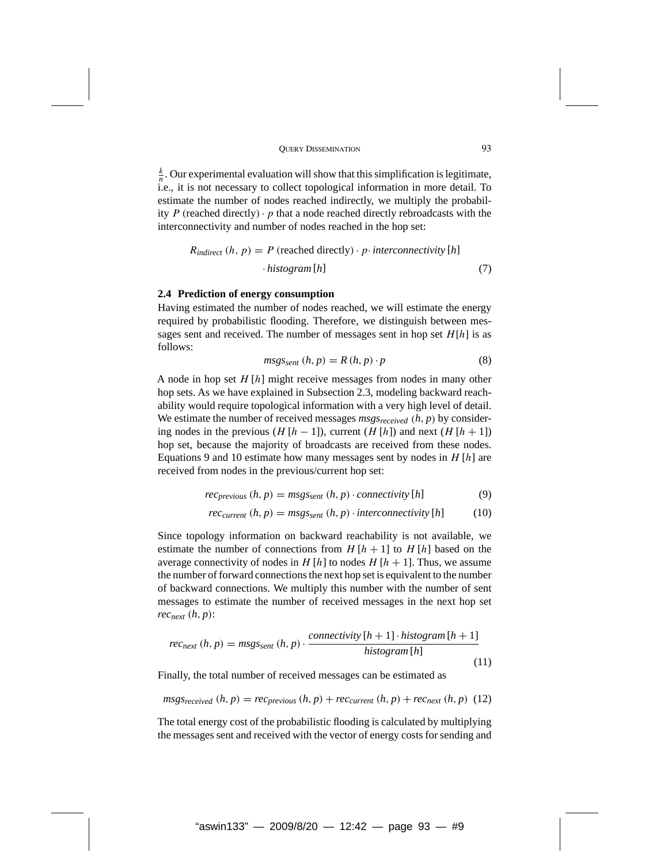$\frac{k}{n}$ . Our experimental evaluation will show that this simplification is legitimate, i.e., it is not necessary to collect topological information in more detail. To estimate the number of nodes reached indirectly, we multiply the probability  $P$  (reached directly)  $\cdot$  *p* that a node reached directly rebroadcasts with the interconnectivity and number of nodes reached in the hop set:

$$
R_{indirect} (h, p) = P \text{ (reached directly)} \cdot p \cdot interconnectivity [h] \cdot histogram [h] \tag{7}
$$

#### **2.4 Prediction of energy consumption**

Having estimated the number of nodes reached, we will estimate the energy required by probabilistic flooding. Therefore, we distinguish between messages sent and received. The number of messages sent in hop set *H*[*h*] is as follows:

$$
msgs_{sent}(h, p) = R(h, p) \cdot p \tag{8}
$$

A node in hop set *H* [*h*] might receive messages from nodes in many other hop sets. As we have explained in Subsection 2.3, modeling backward reachability would require topological information with a very high level of detail. We estimate the number of received messages  $msgs_{received}$   $(h, p)$  by considering nodes in the previous ( $H[h-1]$ ), current ( $H[h]$ ) and next ( $H[h+1]$ ) hop set, because the majority of broadcasts are received from these nodes. Equations 9 and 10 estimate how many messages sent by nodes in *H* [*h*] are received from nodes in the previous/current hop set:

$$
rec_{previous}(h, p) = msgs_{sent}(h, p) \cdot connectivity[h]
$$
 (9)

$$
rec_{current}(h, p) = msgs_{sent}(h, p) \cdot interconnectivity[h] \tag{10}
$$

Since topology information on backward reachability is not available, we estimate the number of connections from  $H[h+1]$  to  $H[h]$  based on the average connectivity of nodes in  $H[h]$  to nodes  $H[h+1]$ . Thus, we assume the number of forward connections the next hop set is equivalent to the number of backward connections. We multiply this number with the number of sent messages to estimate the number of received messages in the next hop set *recnext (h, p)*:

$$
rec_{next}(h, p) = msgs_{sent}(h, p) \cdot \frac{connectivity [h+1] \cdot histogram[h+1]}{histogram[h]}
$$
\n(11)

Finally, the total number of received messages can be estimated as

$$
msgs_{received}(h, p) = rec_{previous}(h, p) + rec_{current}(h, p) + rec_{next}(h, p)
$$
 (12)

The total energy cost of the probabilistic flooding is calculated by multiplying the messages sent and received with the vector of energy costs for sending and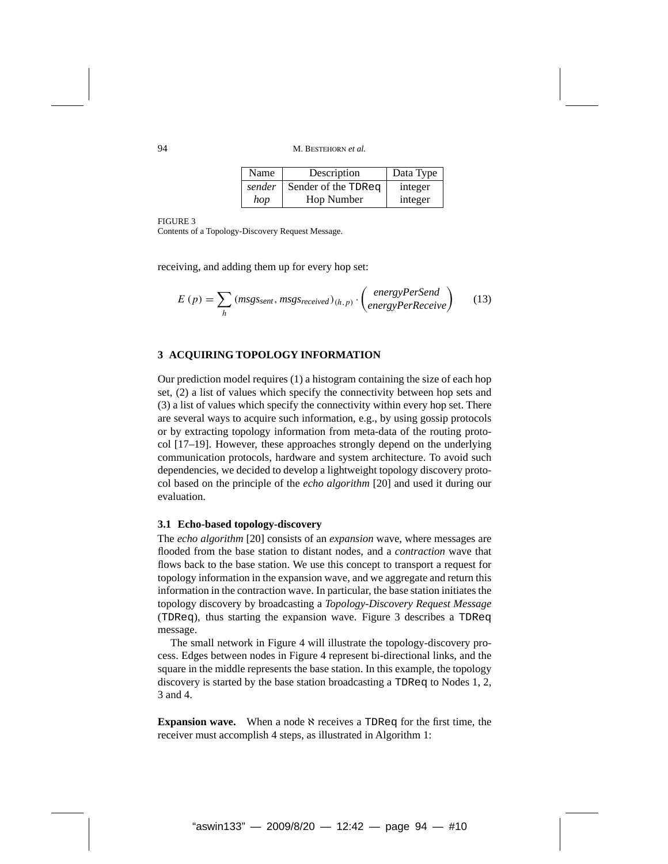| Name   | Description         | Data Type |
|--------|---------------------|-----------|
| sender | Sender of the TDReq | integer   |
| hop    | Hop Number          | integer   |

FIGURE 3

Contents of a Topology-Discovery Request Message.

receiving, and adding them up for every hop set:

$$
E(p) = \sum_{h} (msgs_{sent}, msgs_{received})_{(h,p)} \cdot \begin{pmatrix} energyPerSend \\ energyPerReceive \end{pmatrix}
$$
 (13)

# **3 ACQUIRING TOPOLOGY INFORMATION**

Our prediction model requires (1) a histogram containing the size of each hop set, (2) a list of values which specify the connectivity between hop sets and (3) a list of values which specify the connectivity within every hop set. There are several ways to acquire such information, e.g., by using gossip protocols or by extracting topology information from meta-data of the routing protocol [17–19]. However, these approaches strongly depend on the underlying communication protocols, hardware and system architecture. To avoid such dependencies, we decided to develop a lightweight topology discovery protocol based on the principle of the *echo algorithm* [20] and used it during our evaluation.

#### **3.1 Echo-based topology-discovery**

The *echo algorithm* [20] consists of an *expansion* wave, where messages are flooded from the base station to distant nodes, and a *contraction* wave that flows back to the base station. We use this concept to transport a request for topology information in the expansion wave, and we aggregate and return this information in the contraction wave. In particular, the base station initiates the topology discovery by broadcasting a *Topology-Discovery Request Message* (TDReq), thus starting the expansion wave. Figure 3 describes a TDReq message.

The small network in Figure 4 will illustrate the topology-discovery process. Edges between nodes in Figure 4 represent bi-directional links, and the square in the middle represents the base station. In this example, the topology discovery is started by the base station broadcasting a TDReq to Nodes 1, 2, 3 and 4.

**Expansion wave.** When a node  $\aleph$  receives a TDReq for the first time, the receiver must accomplish 4 steps, as illustrated in Algorithm 1: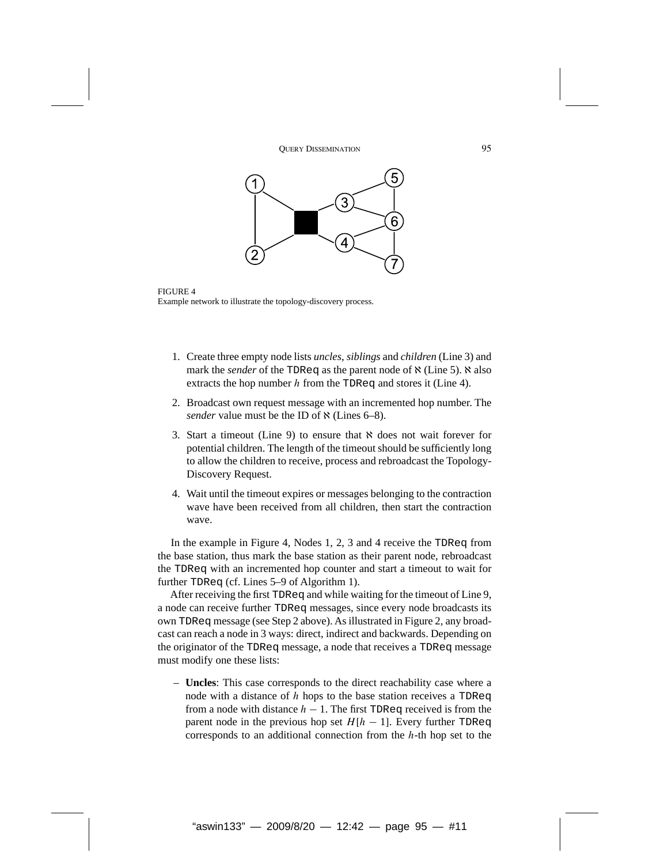

FIGURE 4 Example network to illustrate the topology-discovery process.

- 1. Create three empty node lists *uncles*, *siblings* and *children* (Line 3) and mark the *sender* of the TDReq as the parent node of  $\aleph$  (Line 5).  $\aleph$  also extracts the hop number *h* from the TDReq and stores it (Line 4).
- 2. Broadcast own request message with an incremented hop number. The sender value must be the ID of  $\aleph$  (Lines 6–8).
- 3. Start a timeout (Line 9) to ensure that  $\aleph$  does not wait forever for potential children. The length of the timeout should be sufficiently long to allow the children to receive, process and rebroadcast the Topology-Discovery Request.
- 4. Wait until the timeout expires or messages belonging to the contraction wave have been received from all children, then start the contraction wave.

In the example in Figure 4, Nodes 1, 2, 3 and 4 receive the TDReq from the base station, thus mark the base station as their parent node, rebroadcast the TDReq with an incremented hop counter and start a timeout to wait for further TDReq (cf. Lines 5–9 of Algorithm 1).

After receiving the first TDReq and while waiting for the timeout of Line 9, a node can receive further TDReq messages, since every node broadcasts its own TDReq message (see Step 2 above). As illustrated in Figure 2, any broadcast can reach a node in 3 ways: direct, indirect and backwards. Depending on the originator of the TDReq message, a node that receives a TDReq message must modify one these lists:

– **Uncles**: This case corresponds to the direct reachability case where a node with a distance of *h* hops to the base station receives a TDReq from a node with distance  $h - 1$ . The first TDReq received is from the parent node in the previous hop set  $H[h - 1]$ . Every further TDReq corresponds to an additional connection from the *h*-th hop set to the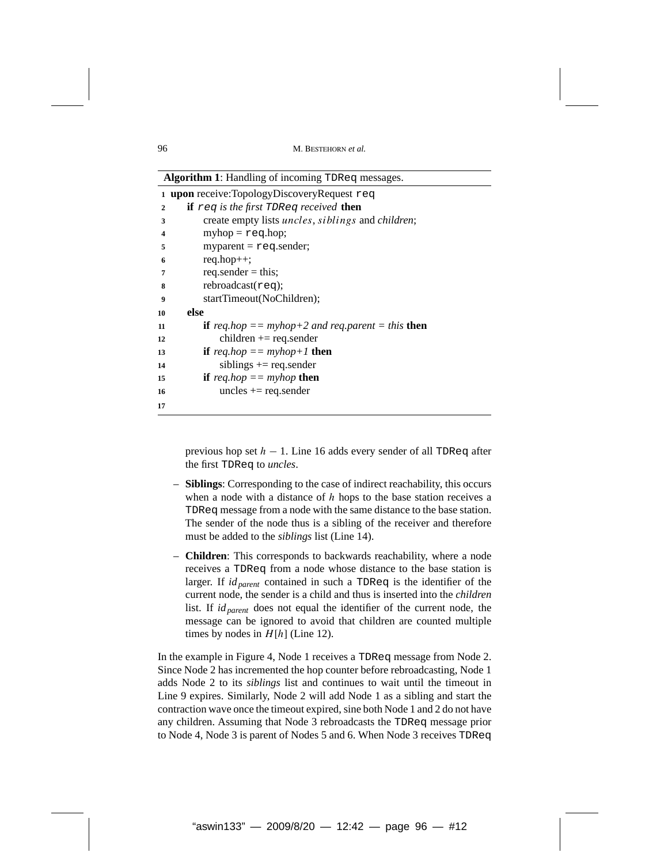|              | <b>Algorithm 1</b> : Handling of incoming TDReq messages.                |  |  |
|--------------|--------------------------------------------------------------------------|--|--|
|              | 1 upon receive:TopologyDiscoveryRequest req                              |  |  |
| $\mathbf{2}$ | <b>if</b> req is the first TDReq received <b>then</b>                    |  |  |
| 3            | create empty lists <i>uncles</i> , <i>siblings</i> and <i>children</i> ; |  |  |
| 4            | $myhop = req.hop;$                                                       |  |  |
| 5            | $myparent = req.sender;$                                                 |  |  |
| 6            | $req.hop++;$                                                             |  |  |
| 7            | req.sender $=$ this;                                                     |  |  |
| 8            | rebroadcast(req);                                                        |  |  |
| 9            | startTimeout(NoChildren);                                                |  |  |
| 10           | else                                                                     |  |  |
| 11           | <b>if</b> req.hop $==$ myhop+2 and req.parent $=$ this <b>then</b>       |  |  |
| 12           | $children += req.sender$                                                 |  |  |
| 13           | <b>if</b> req.hop $==$ myhop+1 <b>then</b>                               |  |  |
| 14           | siblings $+=$ req. sender                                                |  |  |
| 15           | <b>if</b> req.hop $==$ myhop <b>then</b>                                 |  |  |
| 16           | uncles $+=$ req.sender                                                   |  |  |
| 17           |                                                                          |  |  |

**Algorithm 1**: Handling of incoming TDReq messages.

previous hop set *h* − 1. Line 16 adds every sender of all TDReq after the first TDReq to *uncles*.

- **Siblings**: Corresponding to the case of indirect reachability, this occurs when a node with a distance of *h* hops to the base station receives a TDReq message from a node with the same distance to the base station. The sender of the node thus is a sibling of the receiver and therefore must be added to the *siblings* list (Line 14).
- **Children**: This corresponds to backwards reachability, where a node receives a TDReq from a node whose distance to the base station is larger. If *id<sub>parent</sub>* contained in such a TDReq is the identifier of the current node, the sender is a child and thus is inserted into the *children* list. If *idparent* does not equal the identifier of the current node, the message can be ignored to avoid that children are counted multiple times by nodes in  $H[h]$  (Line 12).

In the example in Figure 4, Node 1 receives a TDReq message from Node 2. Since Node 2 has incremented the hop counter before rebroadcasting, Node 1 adds Node 2 to its *siblings* list and continues to wait until the timeout in Line 9 expires. Similarly, Node 2 will add Node 1 as a sibling and start the contraction wave once the timeout expired, sine both Node 1 and 2 do not have any children. Assuming that Node 3 rebroadcasts the TDReq message prior to Node 4, Node 3 is parent of Nodes 5 and 6. When Node 3 receives TDReq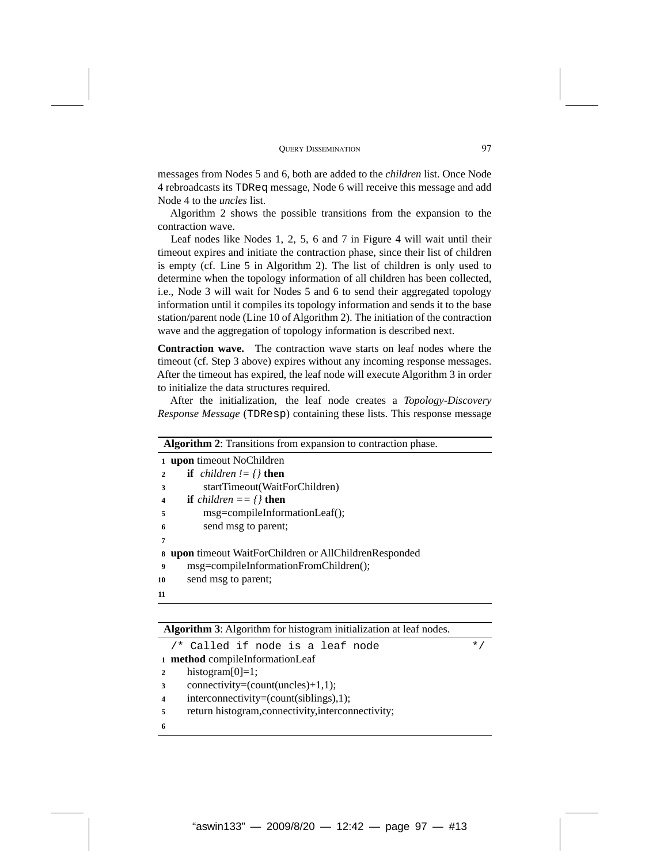messages from Nodes 5 and 6, both are added to the *children* list. Once Node 4 rebroadcasts its TDReq message, Node 6 will receive this message and add Node 4 to the *uncles* list.

Algorithm 2 shows the possible transitions from the expansion to the contraction wave.

Leaf nodes like Nodes 1, 2, 5, 6 and 7 in Figure 4 will wait until their timeout expires and initiate the contraction phase, since their list of children is empty (cf. Line 5 in Algorithm 2). The list of children is only used to determine when the topology information of all children has been collected, i.e., Node 3 will wait for Nodes 5 and 6 to send their aggregated topology information until it compiles its topology information and sends it to the base station/parent node (Line 10 of Algorithm 2). The initiation of the contraction wave and the aggregation of topology information is described next.

**Contraction wave.** The contraction wave starts on leaf nodes where the timeout (cf. Step 3 above) expires without any incoming response messages. After the timeout has expired, the leaf node will execute Algorithm 3 in order to initialize the data structures required.

After the initialization, the leaf node creates a *Topology-Discovery Response Message* (TDResp) containing these lists. This response message

|                         | <b>Algorithm 2:</b> Transitions from expansion to contraction phase. |  |  |
|-------------------------|----------------------------------------------------------------------|--|--|
| $\mathbf{1}$            | upon timeout NoChildren                                              |  |  |
|                         | <b>if</b> <i>children</i> $!=$ { <b>} then</b>                       |  |  |
| 3                       | startTimeout(WaitForChildren)                                        |  |  |
| $\overline{\mathbf{4}}$ | <b>if</b> <i>children</i> == $\{\}$ <b>then</b>                      |  |  |
| 5                       | msg=compileInformationLeaf();                                        |  |  |
| 6                       | send msg to parent;                                                  |  |  |
| 7                       |                                                                      |  |  |
| 8                       | <b>upon</b> timeout WaitForChildren or AllChildrenResponded          |  |  |
| 9                       | msg=compileInformationFromChildren();                                |  |  |
| 10                      | send msg to parent;                                                  |  |  |
| 11                      |                                                                      |  |  |

**Algorithm 3**: Algorithm for histogram initialization at leaf nodes.

 $/*$  Called if node is a leaf node  $*$ **<sup>1</sup> method** compileInformationLeaf 2 histogram $[0]=1$ ; **<sup>3</sup>** connectivity=(count(uncles)+1,1); **<sup>4</sup>** interconnectivity=(count(siblings),1); 5 return histogram, connectivity, interconnectivity; **6**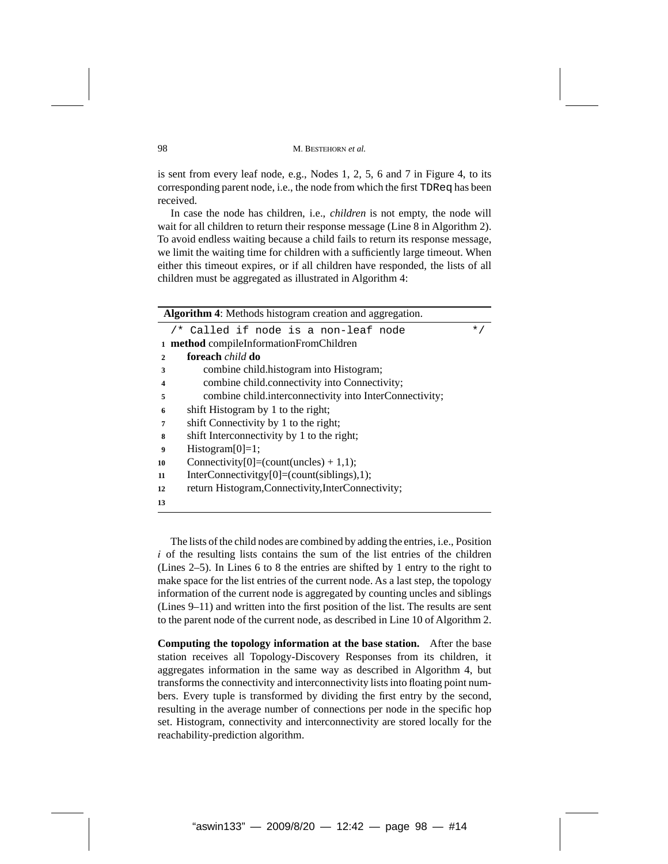is sent from every leaf node, e.g., Nodes 1, 2, 5, 6 and 7 in Figure 4, to its corresponding parent node, i.e., the node from which the first TDReq has been received.

In case the node has children, i.e., *children* is not empty, the node will wait for all children to return their response message (Line 8 in Algorithm 2). To avoid endless waiting because a child fails to return its response message, we limit the waiting time for children with a sufficiently large timeout. When either this timeout expires, or if all children have responded, the lists of all children must be aggregated as illustrated in Algorithm 4:

|              | Algorithm 4: Methods histogram creation and aggregation. |           |  |  |
|--------------|----------------------------------------------------------|-----------|--|--|
|              | /* Called if node is a non-leaf node                     | $\star$ / |  |  |
| $\mathbf{1}$ | method compileInformationFromChildren                    |           |  |  |
| $\mathbf{2}$ | foreach <i>child</i> do                                  |           |  |  |
| 3            | combine child.histogram into Histogram;                  |           |  |  |
| 4            | combine child.connectivity into Connectivity;            |           |  |  |
| 5            | combine child.interconnectivity into InterConnectivity;  |           |  |  |
| 6            | shift Histogram by 1 to the right;                       |           |  |  |
| 7            | shift Connectivity by 1 to the right;                    |           |  |  |
| 8            | shift Interconnectivity by 1 to the right;               |           |  |  |
| 9            | $Histogram[0]=1;$                                        |           |  |  |
| 10           | Connectivity[0]=(count(uncles) + 1,1);                   |           |  |  |
| 11           | InterConnectivitgy[0]=(count(siblings),1);               |           |  |  |
| 12           | return Histogram, Connectivity, InterConnectivity;       |           |  |  |
| 13           |                                                          |           |  |  |

The lists of the child nodes are combined by adding the entries, i.e., Position *i* of the resulting lists contains the sum of the list entries of the children (Lines 2–5). In Lines 6 to 8 the entries are shifted by 1 entry to the right to make space for the list entries of the current node. As a last step, the topology information of the current node is aggregated by counting uncles and siblings (Lines 9–11) and written into the first position of the list. The results are sent to the parent node of the current node, as described in Line 10 of Algorithm 2.

**Computing the topology information at the base station.** After the base station receives all Topology-Discovery Responses from its children, it aggregates information in the same way as described in Algorithm 4, but transforms the connectivity and interconnectivity lists into floating point numbers. Every tuple is transformed by dividing the first entry by the second, resulting in the average number of connections per node in the specific hop set. Histogram, connectivity and interconnectivity are stored locally for the reachability-prediction algorithm.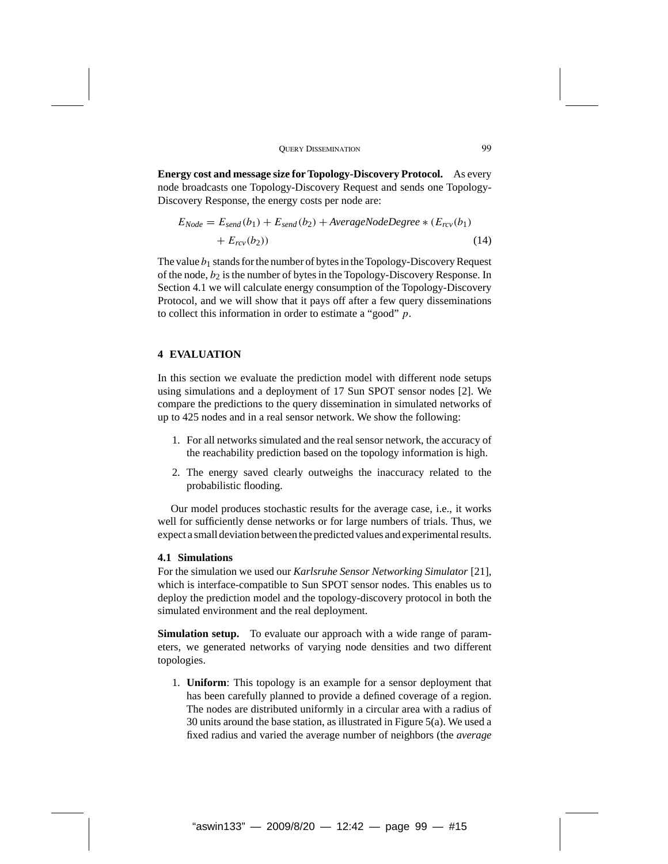**Energy cost and message size for Topology-Discovery Protocol.** As every node broadcasts one Topology-Discovery Request and sends one Topology-Discovery Response, the energy costs per node are:

$$
E_{Node} = E_{send}(b_1) + E_{send}(b_2) + AverageNodeDegree * (E_{rcv}(b_1) + E_{rcv}(b_2))
$$
\n(14)

The value  $b_1$  stands for the number of bytes in the Topology-Discovery Request of the node, *b*<sup>2</sup> is the number of bytes in the Topology-Discovery Response. In Section 4.1 we will calculate energy consumption of the Topology-Discovery Protocol, and we will show that it pays off after a few query disseminations to collect this information in order to estimate a "good" *p*.

# **4 EVALUATION**

In this section we evaluate the prediction model with different node setups using simulations and a deployment of 17 Sun SPOT sensor nodes [2]. We compare the predictions to the query dissemination in simulated networks of up to 425 nodes and in a real sensor network. We show the following:

- 1. For all networks simulated and the real sensor network, the accuracy of the reachability prediction based on the topology information is high.
- 2. The energy saved clearly outweighs the inaccuracy related to the probabilistic flooding.

Our model produces stochastic results for the average case, i.e., it works well for sufficiently dense networks or for large numbers of trials. Thus, we expect a small deviation between the predicted values and experimental results.

# **4.1 Simulations**

For the simulation we used our *Karlsruhe Sensor Networking Simulator* [21], which is interface-compatible to Sun SPOT sensor nodes. This enables us to deploy the prediction model and the topology-discovery protocol in both the simulated environment and the real deployment.

**Simulation setup.** To evaluate our approach with a wide range of parameters, we generated networks of varying node densities and two different topologies.

1. **Uniform**: This topology is an example for a sensor deployment that has been carefully planned to provide a defined coverage of a region. The nodes are distributed uniformly in a circular area with a radius of 30 units around the base station, as illustrated in Figure 5(a). We used a fixed radius and varied the average number of neighbors (the *average*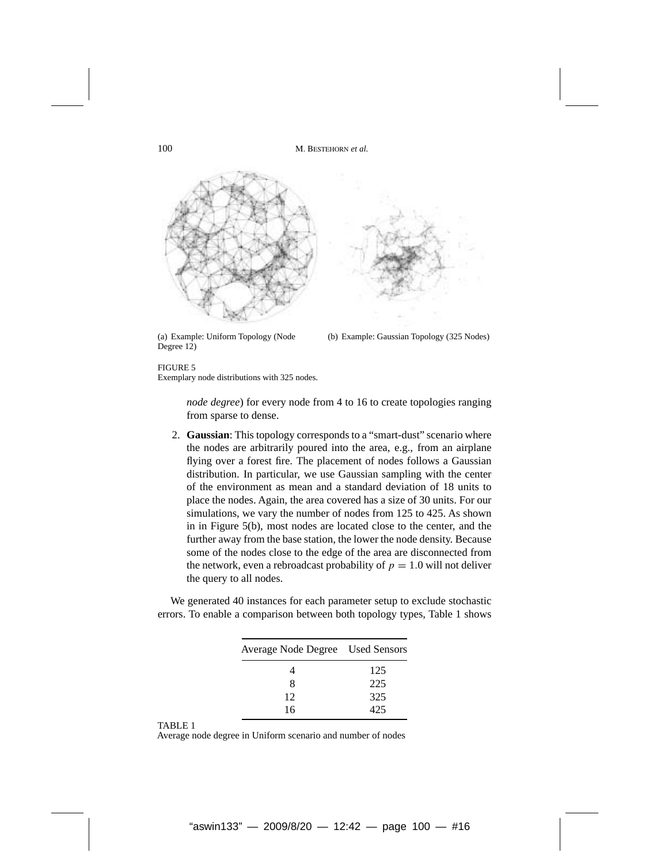

(a) Example: Uniform Topology (Node Degree 12)

(b) Example: Gaussian Topology (325 Nodes)

## FIGURE 5

Exemplary node distributions with 325 nodes.

*node degree*) for every node from 4 to 16 to create topologies ranging from sparse to dense.

2. **Gaussian**: This topology corresponds to a "smart-dust" scenario where the nodes are arbitrarily poured into the area, e.g., from an airplane flying over a forest fire. The placement of nodes follows a Gaussian distribution. In particular, we use Gaussian sampling with the center of the environment as mean and a standard deviation of 18 units to place the nodes. Again, the area covered has a size of 30 units. For our simulations, we vary the number of nodes from 125 to 425. As shown in in Figure 5(b), most nodes are located close to the center, and the further away from the base station, the lower the node density. Because some of the nodes close to the edge of the area are disconnected from the network, even a rebroadcast probability of  $p = 1.0$  will not deliver the query to all nodes.

We generated 40 instances for each parameter setup to exclude stochastic errors. To enable a comparison between both topology types, Table 1 shows

| Average Node Degree Used Sensors |     |  |
|----------------------------------|-----|--|
|                                  | 125 |  |
| 8                                | 225 |  |
| 12                               | 325 |  |
| 16                               | 425 |  |

#### TABLE 1

Average node degree in Uniform scenario and number of nodes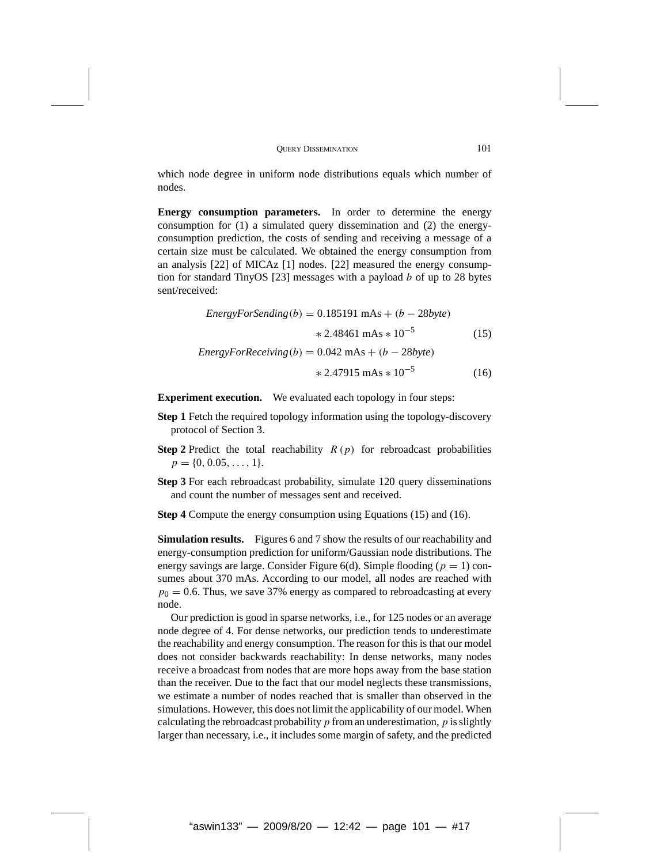which node degree in uniform node distributions equals which number of nodes.

**Energy consumption parameters.** In order to determine the energy consumption for (1) a simulated query dissemination and (2) the energyconsumption prediction, the costs of sending and receiving a message of a certain size must be calculated. We obtained the energy consumption from an analysis [22] of MICAz [1] nodes. [22] measured the energy consumption for standard TinyOS [23] messages with a payload *b* of up to 28 bytes sent/received:

*EnergyForSending(b)* = 0*.*185191 mAs + *(b* − 28*byte)* ∗ 2*.*48461 mAs ∗ 10−<sup>5</sup> (15) *EnergyForReceiving(b)* = 0*.*042 mAs + *(b* − 28*byte)* ∗ 2*.*47915 mAs ∗ 10−<sup>5</sup> (16)

**Experiment execution.** We evaluated each topology in four steps:

- **Step 1** Fetch the required topology information using the topology-discovery protocol of Section 3.
- **Step 2** Predict the total reachability  $R(p)$  for rebroadcast probabilities  $p = \{0, 0.05, \ldots, 1\}.$
- **Step 3** For each rebroadcast probability, simulate 120 query disseminations and count the number of messages sent and received.
- **Step 4** Compute the energy consumption using Equations (15) and (16).

**Simulation results.** Figures 6 and 7 show the results of our reachability and energy-consumption prediction for uniform/Gaussian node distributions. The energy savings are large. Consider Figure  $6(d)$ . Simple flooding ( $p = 1$ ) consumes about 370 mAs. According to our model, all nodes are reached with  $p_0 = 0.6$ . Thus, we save 37% energy as compared to rebroadcasting at every node.

Our prediction is good in sparse networks, i.e., for 125 nodes or an average node degree of 4. For dense networks, our prediction tends to underestimate the reachability and energy consumption. The reason for this is that our model does not consider backwards reachability: In dense networks, many nodes receive a broadcast from nodes that are more hops away from the base station than the receiver. Due to the fact that our model neglects these transmissions, we estimate a number of nodes reached that is smaller than observed in the simulations. However, this does not limit the applicability of our model. When calculating the rebroadcast probability*p* from an underestimation, *p* is slightly larger than necessary, i.e., it includes some margin of safety, and the predicted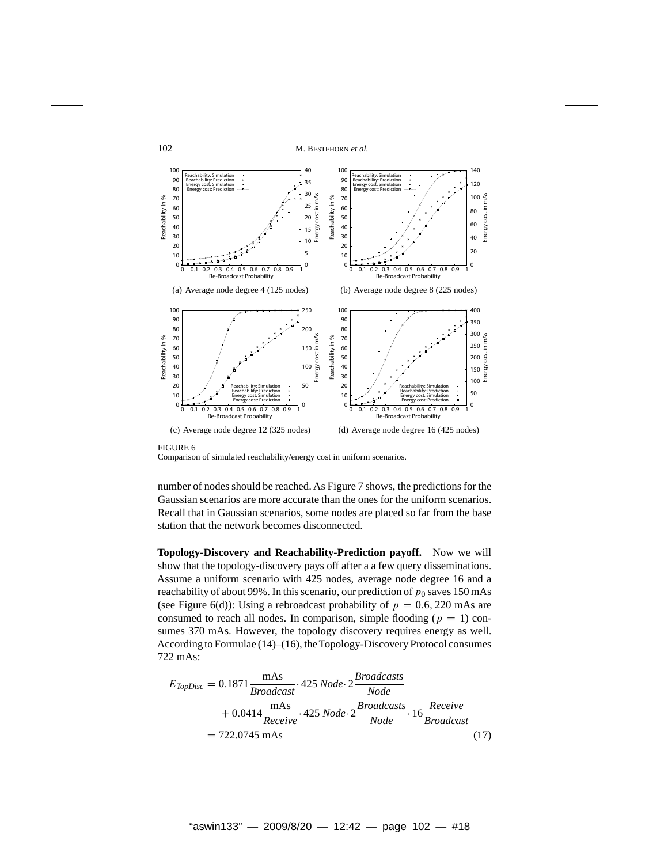

FIGURE 6

Comparison of simulated reachability/energy cost in uniform scenarios.

number of nodes should be reached. As Figure 7 shows, the predictions for the Gaussian scenarios are more accurate than the ones for the uniform scenarios. Recall that in Gaussian scenarios, some nodes are placed so far from the base station that the network becomes disconnected.

**Topology-Discovery and Reachability-Prediction payoff.** Now we will show that the topology-discovery pays off after a a few query disseminations. Assume a uniform scenario with 425 nodes, average node degree 16 and a reachability of about 99%. In this scenario, our prediction of  $p_0$  saves 150 mAs (see Figure 6(d)): Using a rebroadcast probability of  $p = 0.6, 220$  mAs are consumed to reach all nodes. In comparison, simple flooding  $(p = 1)$  consumes 370 mAs. However, the topology discovery requires energy as well. According to Formulae (14)–(16), the Topology-Discovery Protocol consumes 722 mAs:

$$
E_{TopDisc} = 0.1871 \frac{\text{mAs}}{Broadcast} \cdot 425 \text{ Node} \cdot 2 \frac{Broadcasts}{Node} + 0.0414 \frac{\text{mAs}}{Receive} \cdot 425 \text{ Node} \cdot 2 \frac{Broadcasts}{Node} \cdot 16 \frac{Receive}{Broadcast}
$$

$$
= 722.0745 \text{ mAs} \qquad (17)
$$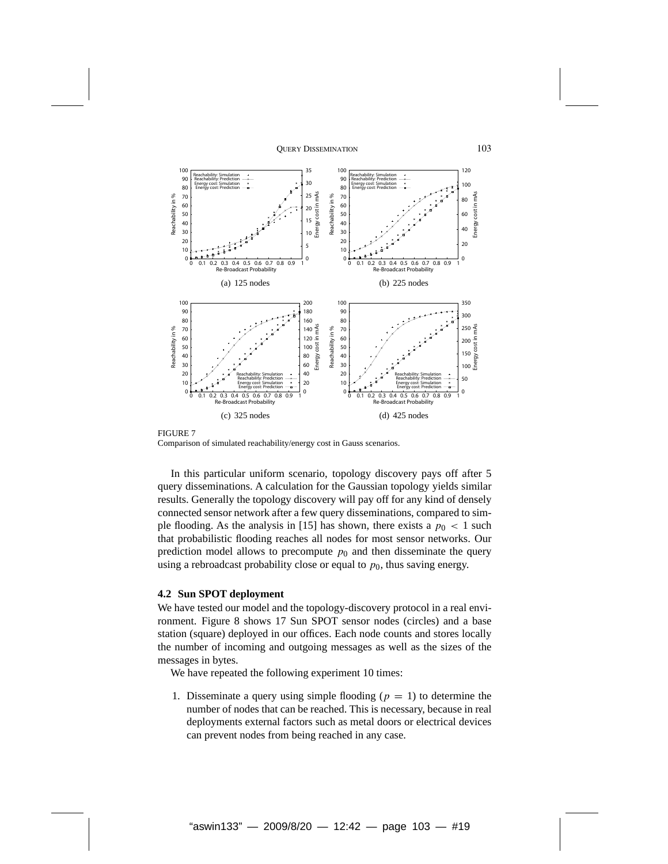

FIGURE 7 Comparison of simulated reachability/energy cost in Gauss scenarios.

In this particular uniform scenario, topology discovery pays off after 5 query disseminations. A calculation for the Gaussian topology yields similar results. Generally the topology discovery will pay off for any kind of densely connected sensor network after a few query disseminations, compared to simple flooding. As the analysis in [15] has shown, there exists a  $p_0 < 1$  such that probabilistic flooding reaches all nodes for most sensor networks. Our prediction model allows to precompute  $p_0$  and then disseminate the query using a rebroadcast probability close or equal to  $p_0$ , thus saving energy.

# **4.2 Sun SPOT deployment**

We have tested our model and the topology-discovery protocol in a real environment. Figure 8 shows 17 Sun SPOT sensor nodes (circles) and a base station (square) deployed in our offices. Each node counts and stores locally the number of incoming and outgoing messages as well as the sizes of the messages in bytes.

We have repeated the following experiment 10 times:

1. Disseminate a query using simple flooding  $(p = 1)$  to determine the number of nodes that can be reached. This is necessary, because in real deployments external factors such as metal doors or electrical devices can prevent nodes from being reached in any case.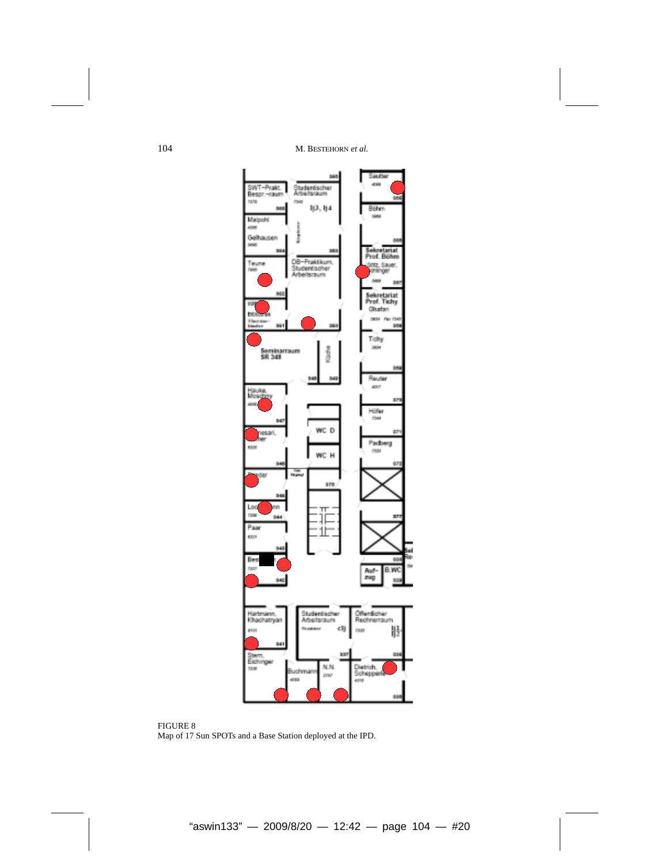

FIGURE 8 Map of 17 Sun SPOTs and a Base Station deployed at the IPD.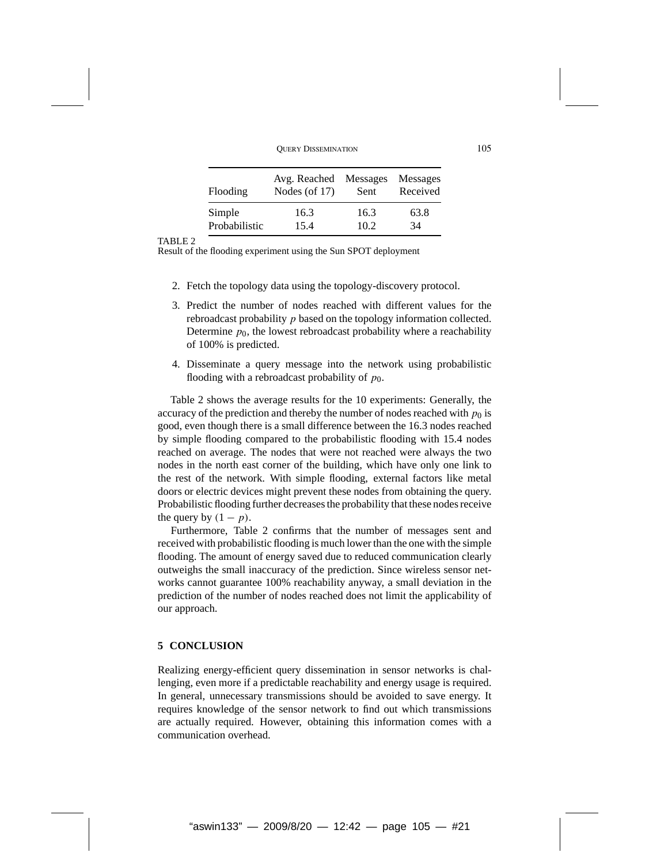| Flooding      | Avg. Reached     | Messages | Messages |
|---------------|------------------|----------|----------|
|               | Nodes (of $17$ ) | Sent     | Received |
| Simple        | 16.3             | 16.3     | 63.8     |
| Probabilistic | 15.4             | 10.2     | 34       |

### TABLE 2

Result of the flooding experiment using the Sun SPOT deployment

- 2. Fetch the topology data using the topology-discovery protocol.
- 3. Predict the number of nodes reached with different values for the rebroadcast probability *p* based on the topology information collected. Determine  $p_0$ , the lowest rebroadcast probability where a reachability of 100% is predicted.
- 4. Disseminate a query message into the network using probabilistic flooding with a rebroadcast probability of  $p_0$ .

Table 2 shows the average results for the 10 experiments: Generally, the accuracy of the prediction and thereby the number of nodes reached with  $p_0$  is good, even though there is a small difference between the 16.3 nodes reached by simple flooding compared to the probabilistic flooding with 15.4 nodes reached on average. The nodes that were not reached were always the two nodes in the north east corner of the building, which have only one link to the rest of the network. With simple flooding, external factors like metal doors or electric devices might prevent these nodes from obtaining the query. Probabilistic flooding further decreases the probability that these nodes receive the query by  $(1 - p)$ .

Furthermore, Table 2 confirms that the number of messages sent and received with probabilistic flooding is much lower than the one with the simple flooding. The amount of energy saved due to reduced communication clearly outweighs the small inaccuracy of the prediction. Since wireless sensor networks cannot guarantee 100% reachability anyway, a small deviation in the prediction of the number of nodes reached does not limit the applicability of our approach.

# **5 CONCLUSION**

Realizing energy-efficient query dissemination in sensor networks is challenging, even more if a predictable reachability and energy usage is required. In general, unnecessary transmissions should be avoided to save energy. It requires knowledge of the sensor network to find out which transmissions are actually required. However, obtaining this information comes with a communication overhead.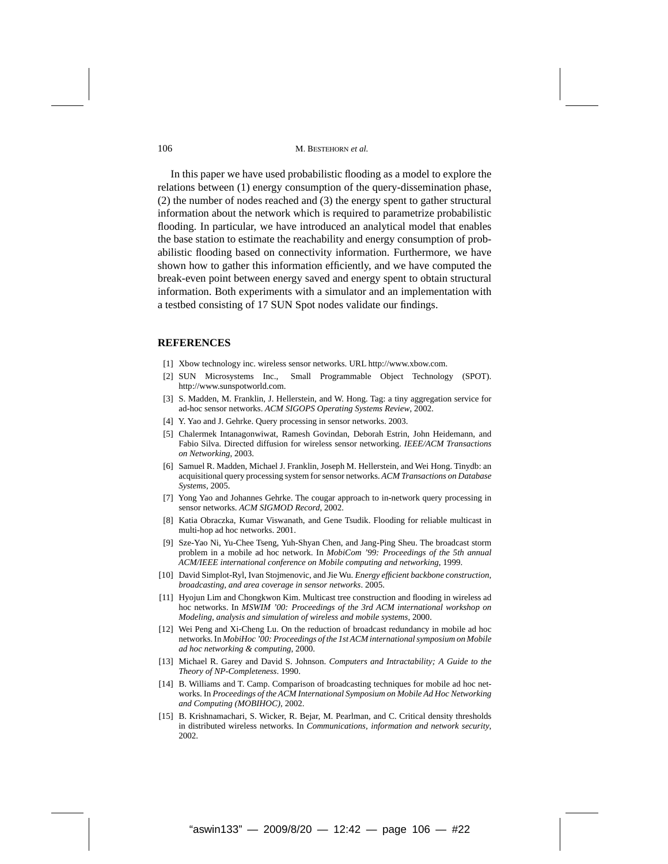In this paper we have used probabilistic flooding as a model to explore the relations between (1) energy consumption of the query-dissemination phase, (2) the number of nodes reached and (3) the energy spent to gather structural information about the network which is required to parametrize probabilistic flooding. In particular, we have introduced an analytical model that enables the base station to estimate the reachability and energy consumption of probabilistic flooding based on connectivity information. Furthermore, we have shown how to gather this information efficiently, and we have computed the break-even point between energy saved and energy spent to obtain structural information. Both experiments with a simulator and an implementation with a testbed consisting of 17 SUN Spot nodes validate our findings.

#### **REFERENCES**

- [1] Xbow technology inc. wireless sensor networks. URL http://www.xbow.com.
- [2] SUN Microsystems Inc., Small Programmable Object Technology (SPOT). http://www.sunspotworld.com.
- [3] S. Madden, M. Franklin, J. Hellerstein, and W. Hong. Tag: a tiny aggregation service for ad-hoc sensor networks. *ACM SIGOPS Operating Systems Review*, 2002.
- [4] Y. Yao and J. Gehrke. Query processing in sensor networks. 2003.
- [5] Chalermek Intanagonwiwat, Ramesh Govindan, Deborah Estrin, John Heidemann, and Fabio Silva. Directed diffusion for wireless sensor networking. *IEEE/ACM Transactions on Networking*, 2003.
- [6] Samuel R. Madden, Michael J. Franklin, Joseph M. Hellerstein, and Wei Hong. Tinydb: an acquisitional query processing system for sensor networks. *ACM Transactions on Database Systems*, 2005.
- [7] Yong Yao and Johannes Gehrke. The cougar approach to in-network query processing in sensor networks. *ACM SIGMOD Record*, 2002.
- [8] Katia Obraczka, Kumar Viswanath, and Gene Tsudik. Flooding for reliable multicast in multi-hop ad hoc networks. 2001.
- [9] Sze-Yao Ni, Yu-Chee Tseng, Yuh-Shyan Chen, and Jang-Ping Sheu. The broadcast storm problem in a mobile ad hoc network. In *MobiCom '99: Proceedings of the 5th annual ACM/IEEE international conference on Mobile computing and networking*, 1999.
- [10] David Simplot-Ryl, Ivan Stojmenovic, and Jie Wu. *Energy efficient backbone construction, broadcasting, and area coverage in sensor networks*. 2005.
- [11] Hyojun Lim and Chongkwon Kim. Multicast tree construction and flooding in wireless ad hoc networks. In *MSWIM '00: Proceedings of the 3rd ACM international workshop on Modeling, analysis and simulation of wireless and mobile systems*, 2000.
- [12] Wei Peng and Xi-Cheng Lu. On the reduction of broadcast redundancy in mobile ad hoc networks. In *MobiHoc '00: Proceedings of the 1st ACM international symposium on Mobile ad hoc networking & computing*, 2000.
- [13] Michael R. Garey and David S. Johnson. *Computers and Intractability; A Guide to the Theory of NP-Completeness*. 1990.
- [14] B. Williams and T. Camp. Comparison of broadcasting techniques for mobile ad hoc networks. In *Proceedings of the ACM International Symposium on Mobile Ad Hoc Networking and Computing (MOBIHOC)*, 2002.
- [15] B. Krishnamachari, S. Wicker, R. Bejar, M. Pearlman, and C. Critical density thresholds in distributed wireless networks. In *Communications, information and network security*, 2002.